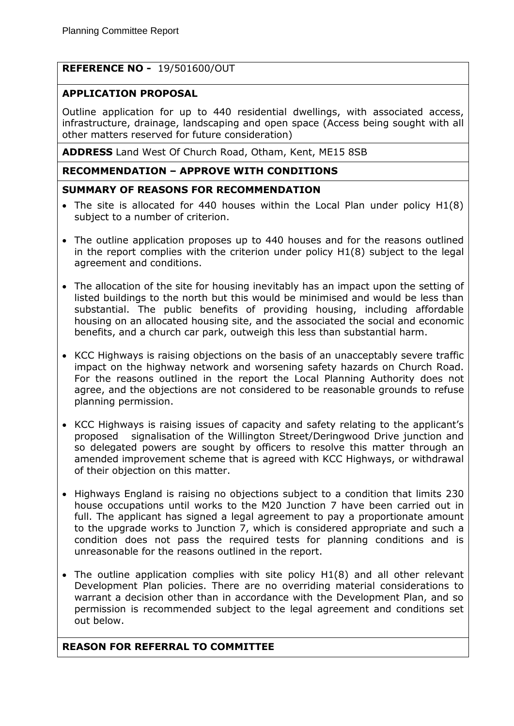# **REFERENCE NO -** 19/501600/OUT

## **APPLICATION PROPOSAL**

Outline application for up to 440 residential dwellings, with associated access, infrastructure, drainage, landscaping and open space (Access being sought with all other matters reserved for future consideration)

**ADDRESS** Land West Of Church Road, Otham, Kent, ME15 8SB

## **RECOMMENDATION – APPROVE WITH CONDITIONS**

### **SUMMARY OF REASONS FOR RECOMMENDATION**

- The site is allocated for 440 houses within the Local Plan under policy  $H1(8)$ subject to a number of criterion.
- The outline application proposes up to 440 houses and for the reasons outlined in the report complies with the criterion under policy H1(8) subject to the legal agreement and conditions.
- The allocation of the site for housing inevitably has an impact upon the setting of listed buildings to the north but this would be minimised and would be less than substantial. The public benefits of providing housing, including affordable housing on an allocated housing site, and the associated the social and economic benefits, and a church car park, outweigh this less than substantial harm.
- KCC Highways is raising objections on the basis of an unacceptably severe traffic impact on the highway network and worsening safety hazards on Church Road. For the reasons outlined in the report the Local Planning Authority does not agree, and the objections are not considered to be reasonable grounds to refuse planning permission.
- KCC Highways is raising issues of capacity and safety relating to the applicant's proposed signalisation of the Willington Street/Deringwood Drive junction and so delegated powers are sought by officers to resolve this matter through an amended improvement scheme that is agreed with KCC Highways, or withdrawal of their objection on this matter.
- Highways England is raising no objections subject to a condition that limits 230 house occupations until works to the M20 Junction 7 have been carried out in full. The applicant has signed a legal agreement to pay a proportionate amount to the upgrade works to Junction 7, which is considered appropriate and such a condition does not pass the required tests for planning conditions and is unreasonable for the reasons outlined in the report.
- The outline application complies with site policy H1(8) and all other relevant Development Plan policies. There are no overriding material considerations to warrant a decision other than in accordance with the Development Plan, and so permission is recommended subject to the legal agreement and conditions set out below.

## **REASON FOR REFERRAL TO COMMITTEE**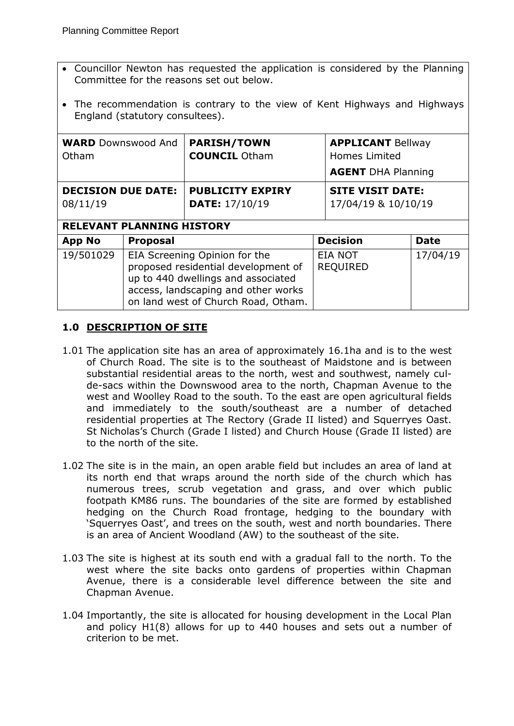- Councillor Newton has requested the application is considered by the Planning Committee for the reasons set out below.
- The recommendation is contrary to the view of Kent Highways and Highways England (statutory consultees).

| <b>WARD</b> Downswood And<br>Otham                                        |                                                                                                                                                                                          | <b>PARISH/TOWN</b><br><b>COUNCIL Otham</b>       | <b>APPLICANT Bellway</b><br>Homes Limited<br><b>AGENT DHA Planning</b> |                                                |             |
|---------------------------------------------------------------------------|------------------------------------------------------------------------------------------------------------------------------------------------------------------------------------------|--------------------------------------------------|------------------------------------------------------------------------|------------------------------------------------|-------------|
| <b>DECISION DUE DATE:</b><br>08/11/19<br><b>RELEVANT PLANNING HISTORY</b> |                                                                                                                                                                                          | <b>PUBLICITY EXPIRY</b><br><b>DATE: 17/10/19</b> |                                                                        | <b>SITE VISIT DATE:</b><br>17/04/19 & 10/10/19 |             |
| <b>App No</b>                                                             | <b>Proposal</b>                                                                                                                                                                          |                                                  | <b>Decision</b>                                                        |                                                | <b>Date</b> |
| 19/501029                                                                 | EIA Screening Opinion for the<br>proposed residential development of<br>up to 440 dwellings and associated<br>access, landscaping and other works<br>on land west of Church Road, Otham. |                                                  |                                                                        | <b>EIA NOT</b><br><b>REQUIRED</b>              | 17/04/19    |

# **1.0 DESCRIPTION OF SITE**

- 1.01 The application site has an area of approximately 16.1ha and is to the west of Church Road. The site is to the southeast of Maidstone and is between substantial residential areas to the north, west and southwest, namely culde-sacs within the Downswood area to the north, Chapman Avenue to the west and Woolley Road to the south. To the east are open agricultural fields and immediately to the south/southeast are a number of detached residential properties at The Rectory (Grade II listed) and Squerryes Oast. St Nicholas's Church (Grade I listed) and Church House (Grade II listed) are to the north of the site.
- 1.02 The site is in the main, an open arable field but includes an area of land at its north end that wraps around the north side of the church which has numerous trees, scrub vegetation and grass, and over which public footpath KM86 runs. The boundaries of the site are formed by established hedging on the Church Road frontage, hedging to the boundary with 'Squerryes Oast', and trees on the south, west and north boundaries. There is an area of Ancient Woodland (AW) to the southeast of the site.
- 1.03 The site is highest at its south end with a gradual fall to the north. To the west where the site backs onto gardens of properties within Chapman Avenue, there is a considerable level difference between the site and Chapman Avenue.
- 1.04 Importantly, the site is allocated for housing development in the Local Plan and policy H1(8) allows for up to 440 houses and sets out a number of criterion to be met.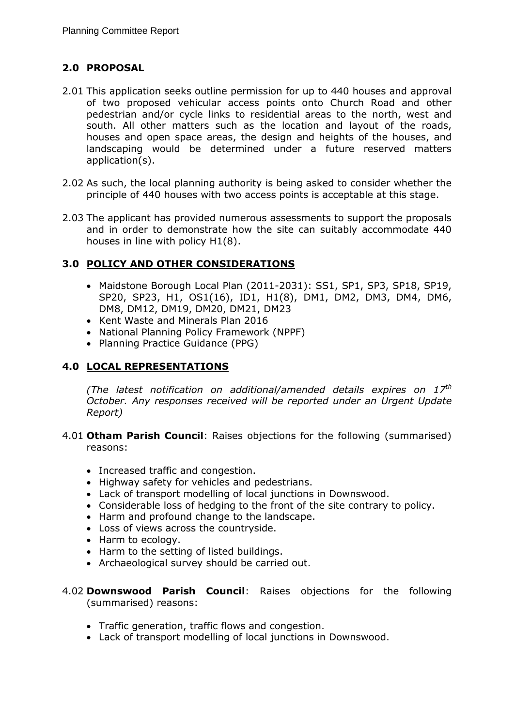# **2.0 PROPOSAL**

- 2.01 This application seeks outline permission for up to 440 houses and approval of two proposed vehicular access points onto Church Road and other pedestrian and/or cycle links to residential areas to the north, west and south. All other matters such as the location and layout of the roads, houses and open space areas, the design and heights of the houses, and landscaping would be determined under a future reserved matters application(s).
- 2.02 As such, the local planning authority is being asked to consider whether the principle of 440 houses with two access points is acceptable at this stage.
- 2.03 The applicant has provided numerous assessments to support the proposals and in order to demonstrate how the site can suitably accommodate 440 houses in line with policy H1(8).

# **3.0 POLICY AND OTHER CONSIDERATIONS**

- Maidstone Borough Local Plan (2011-2031): SS1, SP1, SP3, SP18, SP19, SP20, SP23, H1, OS1(16), ID1, H1(8), DM1, DM2, DM3, DM4, DM6, DM8, DM12, DM19, DM20, DM21, DM23
- Kent Waste and Minerals Plan 2016
- National Planning Policy Framework (NPPF)
- Planning Practice Guidance (PPG)

# **4.0 LOCAL REPRESENTATIONS**

*(The latest notification on additional/amended details expires on 17th October. Any responses received will be reported under an Urgent Update Report)*

- 4.01 **Otham Parish Council**: Raises objections for the following (summarised) reasons:
	- Increased traffic and congestion.
	- Highway safety for vehicles and pedestrians.
	- Lack of transport modelling of local junctions in Downswood.
	- Considerable loss of hedging to the front of the site contrary to policy.
	- Harm and profound change to the landscape.
	- Loss of views across the countryside.
	- Harm to ecology.
	- Harm to the setting of listed buildings.
	- Archaeological survey should be carried out.
- 4.02 **Downswood Parish Council**: Raises objections for the following (summarised) reasons:
	- Traffic generation, traffic flows and congestion.
	- Lack of transport modelling of local junctions in Downswood.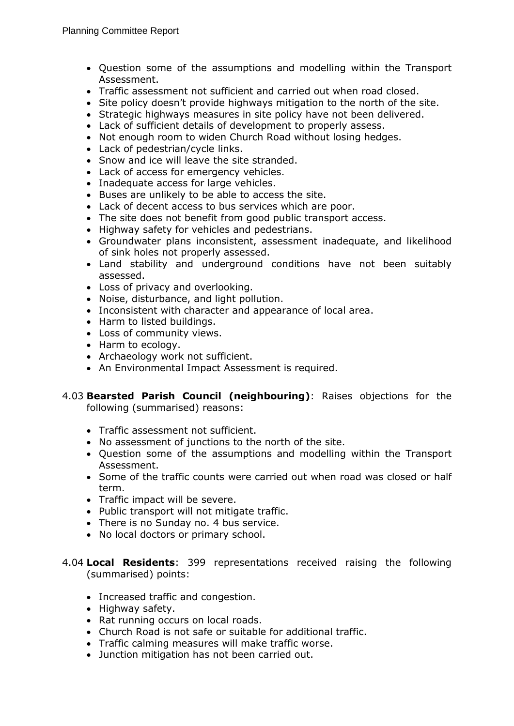- Question some of the assumptions and modelling within the Transport Assessment.
- Traffic assessment not sufficient and carried out when road closed.
- Site policy doesn't provide highways mitigation to the north of the site.
- Strategic highways measures in site policy have not been delivered.
- Lack of sufficient details of development to properly assess.
- Not enough room to widen Church Road without losing hedges.
- Lack of pedestrian/cycle links.
- Snow and ice will leave the site stranded.
- Lack of access for emergency vehicles.
- Inadequate access for large vehicles.
- Buses are unlikely to be able to access the site.
- Lack of decent access to bus services which are poor.
- The site does not benefit from good public transport access.
- Highway safety for vehicles and pedestrians.
- Groundwater plans inconsistent, assessment inadequate, and likelihood of sink holes not properly assessed.
- Land stability and underground conditions have not been suitably assessed.
- Loss of privacy and overlooking.
- Noise, disturbance, and light pollution.
- Inconsistent with character and appearance of local area.
- Harm to listed buildings.
- Loss of community views.
- Harm to ecology.
- Archaeology work not sufficient.
- An Environmental Impact Assessment is required.

#### 4.03 **Bearsted Parish Council (neighbouring)**: Raises objections for the following (summarised) reasons:

- Traffic assessment not sufficient.
- No assessment of junctions to the north of the site.
- Question some of the assumptions and modelling within the Transport Assessment.
- Some of the traffic counts were carried out when road was closed or half term.
- Traffic impact will be severe.
- Public transport will not mitigate traffic.
- There is no Sunday no. 4 bus service.
- No local doctors or primary school.
- 4.04 **Local Residents**: 399 representations received raising the following (summarised) points:
	- Increased traffic and congestion.
	- Highway safety.
	- Rat running occurs on local roads.
	- Church Road is not safe or suitable for additional traffic.
	- Traffic calming measures will make traffic worse.
	- Junction mitigation has not been carried out.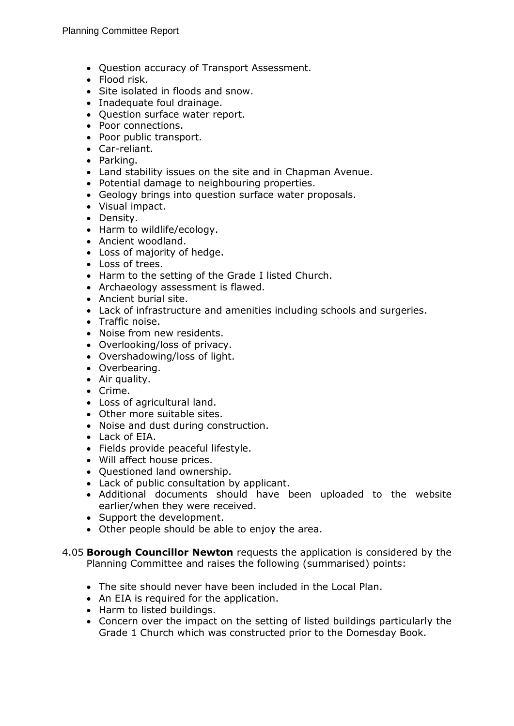- Question accuracy of Transport Assessment.
- Flood risk.
- Site isolated in floods and snow.
- Inadequate foul drainage.
- Question surface water report.
- Poor connections.
- Poor public transport.
- Car-reliant.
- Parking.
- Land stability issues on the site and in Chapman Avenue.
- Potential damage to neighbouring properties.
- Geology brings into question surface water proposals.
- Visual impact.
- Density.
- Harm to wildlife/ecology.
- Ancient woodland.
- Loss of majority of hedge.
- Loss of trees.
- Harm to the setting of the Grade I listed Church.
- Archaeology assessment is flawed.
- Ancient burial site.
- Lack of infrastructure and amenities including schools and surgeries.
- Traffic noise.
- Noise from new residents.
- Overlooking/loss of privacy.
- Overshadowing/loss of light.
- Overbearing.
- Air quality.
- Crime.
- Loss of agricultural land.
- Other more suitable sites.
- Noise and dust during construction.
- Lack of EIA.
- Fields provide peaceful lifestyle.
- Will affect house prices.
- Questioned land ownership.
- Lack of public consultation by applicant.
- Additional documents should have been uploaded to the website earlier/when they were received.
- Support the development.
- Other people should be able to enjoy the area.
- 4.05 **Borough Councillor Newton** requests the application is considered by the Planning Committee and raises the following (summarised) points:
	- The site should never have been included in the Local Plan.
	- An EIA is required for the application.
	- Harm to listed buildings.
	- Concern over the impact on the setting of listed buildings particularly the Grade 1 Church which was constructed prior to the Domesday Book.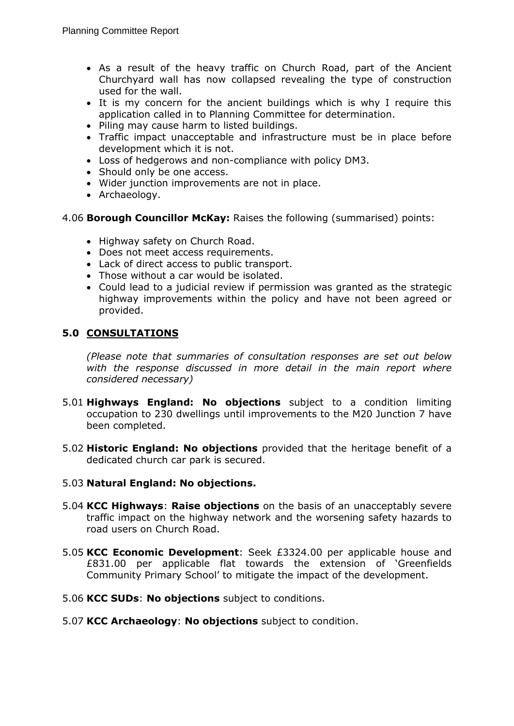- As a result of the heavy traffic on Church Road, part of the Ancient Churchyard wall has now collapsed revealing the type of construction used for the wall.
- It is my concern for the ancient buildings which is why I require this application called in to Planning Committee for determination.
- Piling may cause harm to listed buildings.
- Traffic impact unacceptable and infrastructure must be in place before development which it is not.
- Loss of hedgerows and non-compliance with policy DM3.
- Should only be one access.
- Wider junction improvements are not in place.
- Archaeology.
- 4.06 **Borough Councillor McKay:** Raises the following (summarised) points:
	- Highway safety on Church Road.
	- Does not meet access requirements.
	- Lack of direct access to public transport.
	- Those without a car would be isolated.
	- Could lead to a judicial review if permission was granted as the strategic highway improvements within the policy and have not been agreed or provided.

## **5.0 CONSULTATIONS**

*(Please note that summaries of consultation responses are set out below*  with the response discussed in more detail in the main report where *considered necessary)*

- 5.01 **Highways England: No objections** subject to a condition limiting occupation to 230 dwellings until improvements to the M20 Junction 7 have been completed.
- 5.02 **Historic England: No objections** provided that the heritage benefit of a dedicated church car park is secured.

## 5.03 **Natural England: No objections.**

- 5.04 **KCC Highways**: **Raise objections** on the basis of an unacceptably severe traffic impact on the highway network and the worsening safety hazards to road users on Church Road.
- 5.05 **KCC Economic Development**: Seek £3324.00 per applicable house and £831.00 per applicable flat towards the extension of 'Greenfields Community Primary School' to mitigate the impact of the development.
- 5.06 **KCC SUDs**: **No objections** subject to conditions.
- 5.07 **KCC Archaeology**: **No objections** subject to condition.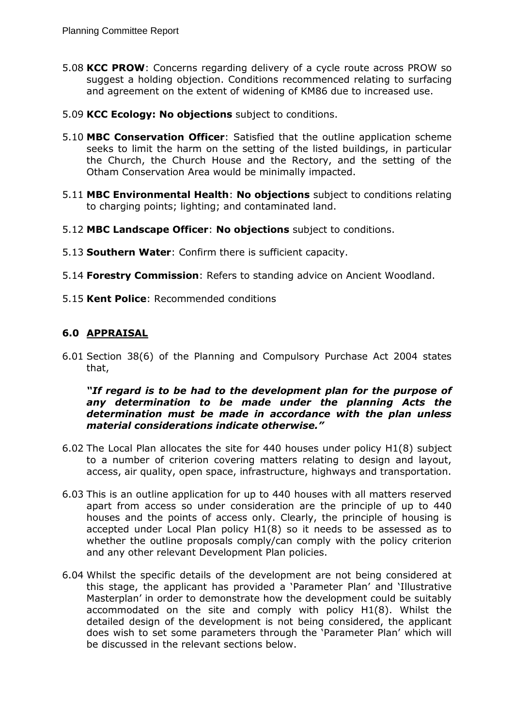- 5.08 **KCC PROW**: Concerns regarding delivery of a cycle route across PROW so suggest a holding objection. Conditions recommenced relating to surfacing and agreement on the extent of widening of KM86 due to increased use.
- 5.09 **KCC Ecology: No objections** subject to conditions.
- 5.10 **MBC Conservation Officer**: Satisfied that the outline application scheme seeks to limit the harm on the setting of the listed buildings, in particular the Church, the Church House and the Rectory, and the setting of the Otham Conservation Area would be minimally impacted.
- 5.11 **MBC Environmental Health**: **No objections** subject to conditions relating to charging points; lighting; and contaminated land.
- 5.12 **MBC Landscape Officer**: **No objections** subject to conditions.
- 5.13 **Southern Water**: Confirm there is sufficient capacity.
- 5.14 **Forestry Commission**: Refers to standing advice on Ancient Woodland.
- 5.15 **Kent Police**: Recommended conditions

# **6.0 APPRAISAL**

6.01 Section 38(6) of the Planning and Compulsory Purchase Act 2004 states that,

#### *"If regard is to be had to the development plan for the purpose of any determination to be made under the planning Acts the determination must be made in accordance with the plan unless material considerations indicate otherwise."*

- 6.02 The Local Plan allocates the site for 440 houses under policy H1(8) subject to a number of criterion covering matters relating to design and layout, access, air quality, open space, infrastructure, highways and transportation.
- 6.03 This is an outline application for up to 440 houses with all matters reserved apart from access so under consideration are the principle of up to 440 houses and the points of access only. Clearly, the principle of housing is accepted under Local Plan policy H1(8) so it needs to be assessed as to whether the outline proposals comply/can comply with the policy criterion and any other relevant Development Plan policies.
- 6.04 Whilst the specific details of the development are not being considered at this stage, the applicant has provided a 'Parameter Plan' and 'Illustrative Masterplan' in order to demonstrate how the development could be suitably accommodated on the site and comply with policy H1(8). Whilst the detailed design of the development is not being considered, the applicant does wish to set some parameters through the 'Parameter Plan' which will be discussed in the relevant sections below.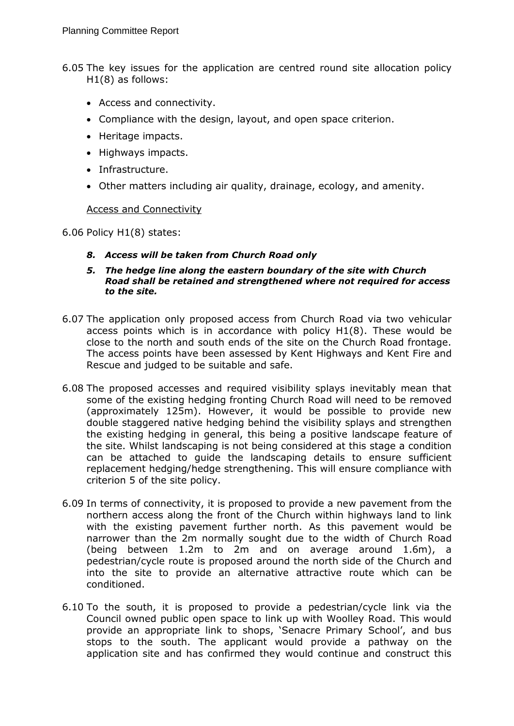- 6.05 The key issues for the application are centred round site allocation policy H1(8) as follows:
	- Access and connectivity.
	- Compliance with the design, layout, and open space criterion.
	- Heritage impacts.
	- Highways impacts.
	- Infrastructure.
	- Other matters including air quality, drainage, ecology, and amenity.

### Access and Connectivity

6.06 Policy H1(8) states:

- *8. Access will be taken from Church Road only*
- *5. The hedge line along the eastern boundary of the site with Church Road shall be retained and strengthened where not required for access to the site.*
- 6.07 The application only proposed access from Church Road via two vehicular access points which is in accordance with policy H1(8). These would be close to the north and south ends of the site on the Church Road frontage. The access points have been assessed by Kent Highways and Kent Fire and Rescue and judged to be suitable and safe.
- 6.08 The proposed accesses and required visibility splays inevitably mean that some of the existing hedging fronting Church Road will need to be removed (approximately 125m). However, it would be possible to provide new double staggered native hedging behind the visibility splays and strengthen the existing hedging in general, this being a positive landscape feature of the site. Whilst landscaping is not being considered at this stage a condition can be attached to guide the landscaping details to ensure sufficient replacement hedging/hedge strengthening. This will ensure compliance with criterion 5 of the site policy.
- 6.09 In terms of connectivity, it is proposed to provide a new pavement from the northern access along the front of the Church within highways land to link with the existing pavement further north. As this pavement would be narrower than the 2m normally sought due to the width of Church Road (being between 1.2m to 2m and on average around 1.6m), a pedestrian/cycle route is proposed around the north side of the Church and into the site to provide an alternative attractive route which can be conditioned.
- 6.10 To the south, it is proposed to provide a pedestrian/cycle link via the Council owned public open space to link up with Woolley Road. This would provide an appropriate link to shops, 'Senacre Primary School', and bus stops to the south. The applicant would provide a pathway on the application site and has confirmed they would continue and construct this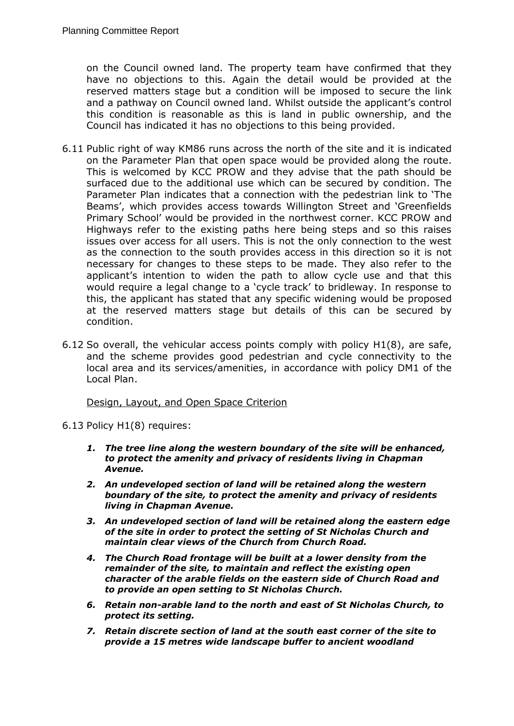on the Council owned land. The property team have confirmed that they have no objections to this. Again the detail would be provided at the reserved matters stage but a condition will be imposed to secure the link and a pathway on Council owned land. Whilst outside the applicant's control this condition is reasonable as this is land in public ownership, and the Council has indicated it has no objections to this being provided.

- 6.11 Public right of way KM86 runs across the north of the site and it is indicated on the Parameter Plan that open space would be provided along the route. This is welcomed by KCC PROW and they advise that the path should be surfaced due to the additional use which can be secured by condition. The Parameter Plan indicates that a connection with the pedestrian link to 'The Beams', which provides access towards Willington Street and 'Greenfields Primary School' would be provided in the northwest corner. KCC PROW and Highways refer to the existing paths here being steps and so this raises issues over access for all users. This is not the only connection to the west as the connection to the south provides access in this direction so it is not necessary for changes to these steps to be made. They also refer to the applicant's intention to widen the path to allow cycle use and that this would require a legal change to a 'cycle track' to bridleway. In response to this, the applicant has stated that any specific widening would be proposed at the reserved matters stage but details of this can be secured by condition.
- 6.12 So overall, the vehicular access points comply with policy H1(8), are safe, and the scheme provides good pedestrian and cycle connectivity to the local area and its services/amenities, in accordance with policy DM1 of the Local Plan.

#### Design, Layout, and Open Space Criterion

6.13 Policy H1(8) requires:

- *1. The tree line along the western boundary of the site will be enhanced, to protect the amenity and privacy of residents living in Chapman Avenue.*
- *2. An undeveloped section of land will be retained along the western boundary of the site, to protect the amenity and privacy of residents living in Chapman Avenue.*
- *3. An undeveloped section of land will be retained along the eastern edge of the site in order to protect the setting of St Nicholas Church and maintain clear views of the Church from Church Road.*
- *4. The Church Road frontage will be built at a lower density from the remainder of the site, to maintain and reflect the existing open character of the arable fields on the eastern side of Church Road and to provide an open setting to St Nicholas Church.*
- *6. Retain non-arable land to the north and east of St Nicholas Church, to protect its setting.*
- *7. Retain discrete section of land at the south east corner of the site to provide a 15 metres wide landscape buffer to ancient woodland*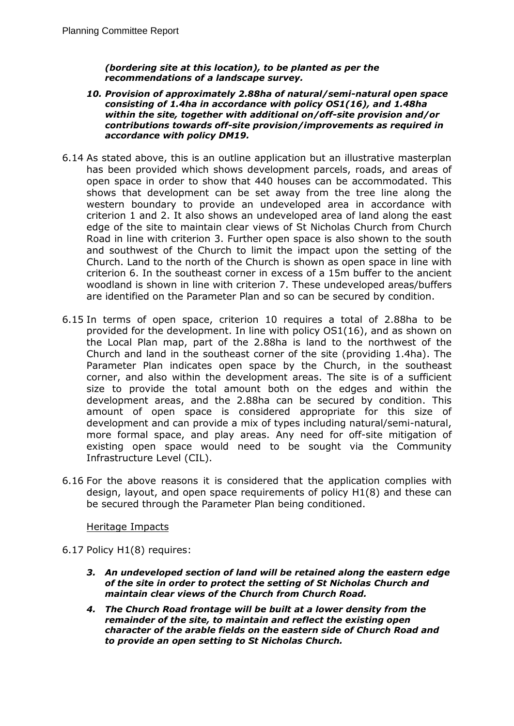*(bordering site at this location), to be planted as per the recommendations of a landscape survey.*

- *10. Provision of approximately 2.88ha of natural/semi-natural open space consisting of 1.4ha in accordance with policy OS1(16), and 1.48ha within the site, together with additional on/off-site provision and/or contributions towards off-site provision/improvements as required in accordance with policy DM19.*
- 6.14 As stated above, this is an outline application but an illustrative masterplan has been provided which shows development parcels, roads, and areas of open space in order to show that 440 houses can be accommodated. This shows that development can be set away from the tree line along the western boundary to provide an undeveloped area in accordance with criterion 1 and 2. It also shows an undeveloped area of land along the east edge of the site to maintain clear views of St Nicholas Church from Church Road in line with criterion 3. Further open space is also shown to the south and southwest of the Church to limit the impact upon the setting of the Church. Land to the north of the Church is shown as open space in line with criterion 6. In the southeast corner in excess of a 15m buffer to the ancient woodland is shown in line with criterion 7. These undeveloped areas/buffers are identified on the Parameter Plan and so can be secured by condition.
- 6.15 In terms of open space, criterion 10 requires a total of 2.88ha to be provided for the development. In line with policy OS1(16), and as shown on the Local Plan map, part of the 2.88ha is land to the northwest of the Church and land in the southeast corner of the site (providing 1.4ha). The Parameter Plan indicates open space by the Church, in the southeast corner, and also within the development areas. The site is of a sufficient size to provide the total amount both on the edges and within the development areas, and the 2.88ha can be secured by condition. This amount of open space is considered appropriate for this size of development and can provide a mix of types including natural/semi-natural, more formal space, and play areas. Any need for off-site mitigation of existing open space would need to be sought via the Community Infrastructure Level (CIL).
- 6.16 For the above reasons it is considered that the application complies with design, layout, and open space requirements of policy H1(8) and these can be secured through the Parameter Plan being conditioned.

#### Heritage Impacts

- 6.17 Policy H1(8) requires:
	- *3. An undeveloped section of land will be retained along the eastern edge of the site in order to protect the setting of St Nicholas Church and maintain clear views of the Church from Church Road.*
	- *4. The Church Road frontage will be built at a lower density from the remainder of the site, to maintain and reflect the existing open character of the arable fields on the eastern side of Church Road and to provide an open setting to St Nicholas Church.*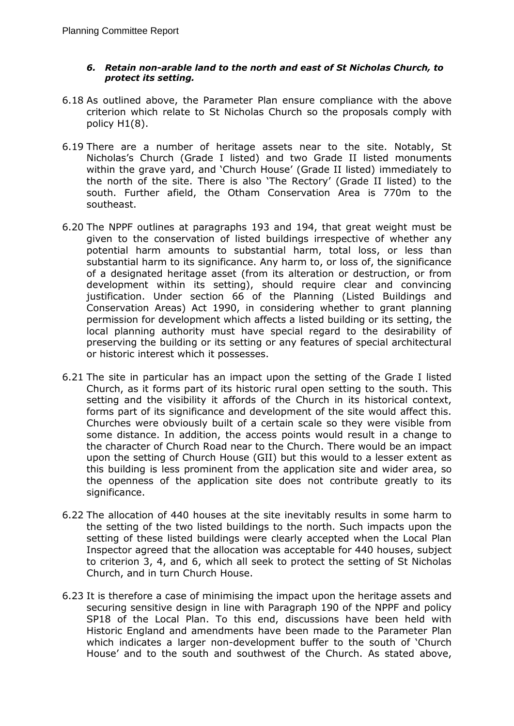### *6. Retain non-arable land to the north and east of St Nicholas Church, to protect its setting.*

- 6.18 As outlined above, the Parameter Plan ensure compliance with the above criterion which relate to St Nicholas Church so the proposals comply with policy H1(8).
- 6.19 There are a number of heritage assets near to the site. Notably, St Nicholas's Church (Grade I listed) and two Grade II listed monuments within the grave yard, and 'Church House' (Grade II listed) immediately to the north of the site. There is also 'The Rectory' (Grade II listed) to the south. Further afield, the Otham Conservation Area is 770m to the southeast.
- 6.20 The NPPF outlines at paragraphs 193 and 194, that great weight must be given to the conservation of listed buildings irrespective of whether any potential harm amounts to substantial harm, total loss, or less than substantial harm to its significance. Any harm to, or loss of, the significance of a designated heritage asset (from its alteration or destruction, or from development within its setting), should require clear and convincing justification. Under section 66 of the Planning (Listed Buildings and Conservation Areas) Act 1990, in considering whether to grant planning permission for development which affects a listed building or its setting, the local planning authority must have special regard to the desirability of preserving the building or its setting or any features of special architectural or historic interest which it possesses.
- 6.21 The site in particular has an impact upon the setting of the Grade I listed Church, as it forms part of its historic rural open setting to the south. This setting and the visibility it affords of the Church in its historical context, forms part of its significance and development of the site would affect this. Churches were obviously built of a certain scale so they were visible from some distance. In addition, the access points would result in a change to the character of Church Road near to the Church. There would be an impact upon the setting of Church House (GII) but this would to a lesser extent as this building is less prominent from the application site and wider area, so the openness of the application site does not contribute greatly to its significance.
- 6.22 The allocation of 440 houses at the site inevitably results in some harm to the setting of the two listed buildings to the north. Such impacts upon the setting of these listed buildings were clearly accepted when the Local Plan Inspector agreed that the allocation was acceptable for 440 houses, subject to criterion 3, 4, and 6, which all seek to protect the setting of St Nicholas Church, and in turn Church House.
- 6.23 It is therefore a case of minimising the impact upon the heritage assets and securing sensitive design in line with Paragraph 190 of the NPPF and policy SP18 of the Local Plan. To this end, discussions have been held with Historic England and amendments have been made to the Parameter Plan which indicates a larger non-development buffer to the south of 'Church House' and to the south and southwest of the Church. As stated above,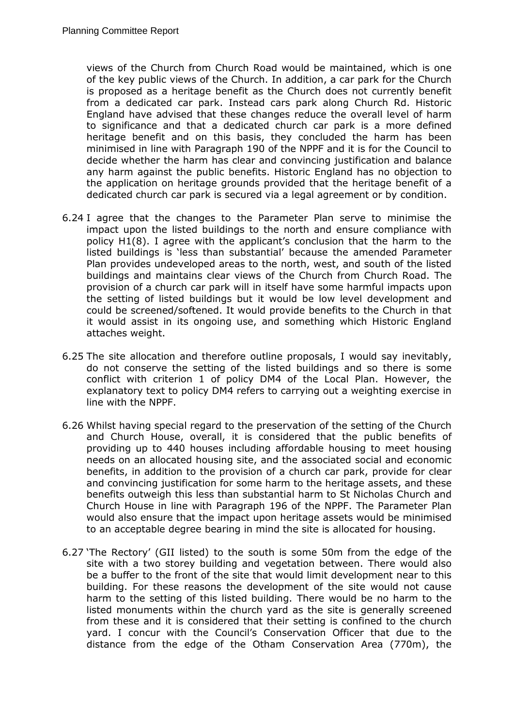views of the Church from Church Road would be maintained, which is one of the key public views of the Church. In addition, a car park for the Church is proposed as a heritage benefit as the Church does not currently benefit from a dedicated car park. Instead cars park along Church Rd. Historic England have advised that these changes reduce the overall level of harm to significance and that a dedicated church car park is a more defined heritage benefit and on this basis, they concluded the harm has been minimised in line with Paragraph 190 of the NPPF and it is for the Council to decide whether the harm has clear and convincing justification and balance any harm against the public benefits. Historic England has no objection to the application on heritage grounds provided that the heritage benefit of a dedicated church car park is secured via a legal agreement or by condition.

- 6.24 I agree that the changes to the Parameter Plan serve to minimise the impact upon the listed buildings to the north and ensure compliance with policy H1(8). I agree with the applicant's conclusion that the harm to the listed buildings is 'less than substantial' because the amended Parameter Plan provides undeveloped areas to the north, west, and south of the listed buildings and maintains clear views of the Church from Church Road. The provision of a church car park will in itself have some harmful impacts upon the setting of listed buildings but it would be low level development and could be screened/softened. It would provide benefits to the Church in that it would assist in its ongoing use, and something which Historic England attaches weight.
- 6.25 The site allocation and therefore outline proposals, I would say inevitably, do not conserve the setting of the listed buildings and so there is some conflict with criterion 1 of policy DM4 of the Local Plan. However, the explanatory text to policy DM4 refers to carrying out a weighting exercise in line with the NPPF.
- 6.26 Whilst having special regard to the preservation of the setting of the Church and Church House, overall, it is considered that the public benefits of providing up to 440 houses including affordable housing to meet housing needs on an allocated housing site, and the associated social and economic benefits, in addition to the provision of a church car park, provide for clear and convincing justification for some harm to the heritage assets, and these benefits outweigh this less than substantial harm to St Nicholas Church and Church House in line with Paragraph 196 of the NPPF. The Parameter Plan would also ensure that the impact upon heritage assets would be minimised to an acceptable degree bearing in mind the site is allocated for housing.
- 6.27 'The Rectory' (GII listed) to the south is some 50m from the edge of the site with a two storey building and vegetation between. There would also be a buffer to the front of the site that would limit development near to this building. For these reasons the development of the site would not cause harm to the setting of this listed building. There would be no harm to the listed monuments within the church yard as the site is generally screened from these and it is considered that their setting is confined to the church yard. I concur with the Council's Conservation Officer that due to the distance from the edge of the Otham Conservation Area (770m), the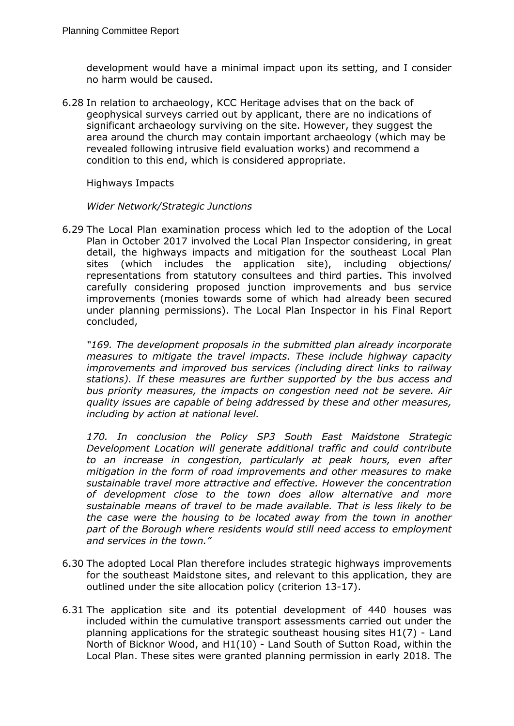development would have a minimal impact upon its setting, and I consider no harm would be caused.

6.28 In relation to archaeology, KCC Heritage advises that on the back of geophysical surveys carried out by applicant, there are no indications of significant archaeology surviving on the site. However, they suggest the area around the church may contain important archaeology (which may be revealed following intrusive field evaluation works) and recommend a condition to this end, which is considered appropriate.

#### Highways Impacts

#### *Wider Network/Strategic Junctions*

6.29 The Local Plan examination process which led to the adoption of the Local Plan in October 2017 involved the Local Plan Inspector considering, in great detail, the highways impacts and mitigation for the southeast Local Plan sites (which includes the application site), including objections/ representations from statutory consultees and third parties. This involved carefully considering proposed junction improvements and bus service improvements (monies towards some of which had already been secured under planning permissions). The Local Plan Inspector in his Final Report concluded,

*"169. The development proposals in the submitted plan already incorporate measures to mitigate the travel impacts. These include highway capacity improvements and improved bus services (including direct links to railway stations). If these measures are further supported by the bus access and bus priority measures, the impacts on congestion need not be severe. Air quality issues are capable of being addressed by these and other measures, including by action at national level.*

*170. In conclusion the Policy SP3 South East Maidstone Strategic Development Location will generate additional traffic and could contribute to an increase in congestion, particularly at peak hours, even after mitigation in the form of road improvements and other measures to make sustainable travel more attractive and effective. However the concentration of development close to the town does allow alternative and more sustainable means of travel to be made available. That is less likely to be the case were the housing to be located away from the town in another part of the Borough where residents would still need access to employment and services in the town."*

- 6.30 The adopted Local Plan therefore includes strategic highways improvements for the southeast Maidstone sites, and relevant to this application, they are outlined under the site allocation policy (criterion 13-17).
- 6.31 The application site and its potential development of 440 houses was included within the cumulative transport assessments carried out under the planning applications for the strategic southeast housing sites H1(7) - Land North of Bicknor Wood, and H1(10) - Land South of Sutton Road, within the Local Plan. These sites were granted planning permission in early 2018. The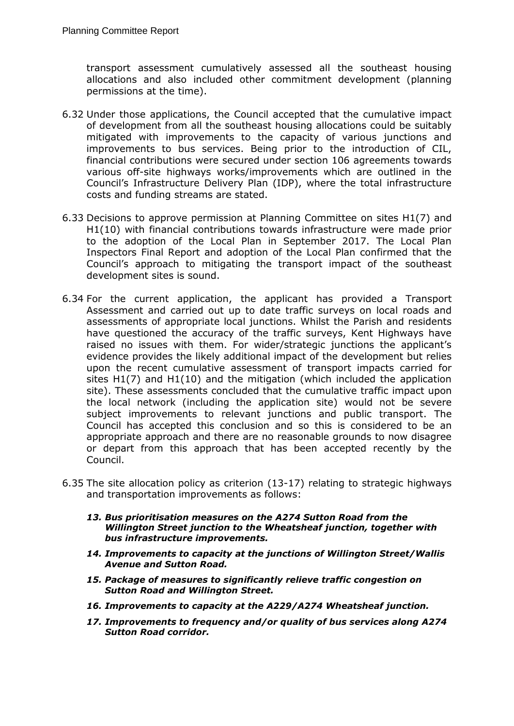transport assessment cumulatively assessed all the southeast housing allocations and also included other commitment development (planning permissions at the time).

- 6.32 Under those applications, the Council accepted that the cumulative impact of development from all the southeast housing allocations could be suitably mitigated with improvements to the capacity of various junctions and improvements to bus services. Being prior to the introduction of CIL, financial contributions were secured under section 106 agreements towards various off-site highways works/improvements which are outlined in the Council's Infrastructure Delivery Plan (IDP), where the total infrastructure costs and funding streams are stated.
- 6.33 Decisions to approve permission at Planning Committee on sites H1(7) and H1(10) with financial contributions towards infrastructure were made prior to the adoption of the Local Plan in September 2017. The Local Plan Inspectors Final Report and adoption of the Local Plan confirmed that the Council's approach to mitigating the transport impact of the southeast development sites is sound.
- 6.34 For the current application, the applicant has provided a Transport Assessment and carried out up to date traffic surveys on local roads and assessments of appropriate local junctions. Whilst the Parish and residents have questioned the accuracy of the traffic surveys, Kent Highways have raised no issues with them. For wider/strategic junctions the applicant's evidence provides the likely additional impact of the development but relies upon the recent cumulative assessment of transport impacts carried for sites H1(7) and H1(10) and the mitigation (which included the application site). These assessments concluded that the cumulative traffic impact upon the local network (including the application site) would not be severe subject improvements to relevant junctions and public transport. The Council has accepted this conclusion and so this is considered to be an appropriate approach and there are no reasonable grounds to now disagree or depart from this approach that has been accepted recently by the Council.
- 6.35 The site allocation policy as criterion (13-17) relating to strategic highways and transportation improvements as follows:
	- *13. Bus prioritisation measures on the A274 Sutton Road from the Willington Street junction to the Wheatsheaf junction, together with bus infrastructure improvements.*
	- *14. Improvements to capacity at the junctions of Willington Street/Wallis Avenue and Sutton Road.*
	- *15. Package of measures to significantly relieve traffic congestion on Sutton Road and Willington Street.*
	- *16. Improvements to capacity at the A229/A274 Wheatsheaf junction.*
	- *17. Improvements to frequency and/or quality of bus services along A274 Sutton Road corridor.*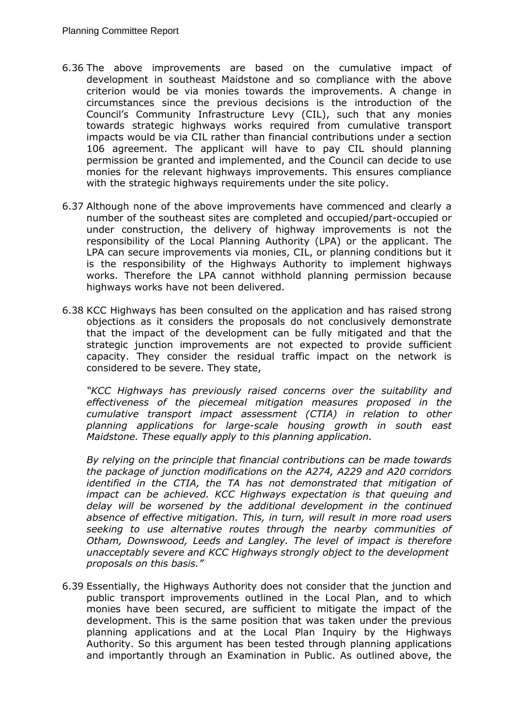- 6.36 The above improvements are based on the cumulative impact of development in southeast Maidstone and so compliance with the above criterion would be via monies towards the improvements. A change in circumstances since the previous decisions is the introduction of the Council's Community Infrastructure Levy (CIL), such that any monies towards strategic highways works required from cumulative transport impacts would be via CIL rather than financial contributions under a section 106 agreement. The applicant will have to pay CIL should planning permission be granted and implemented, and the Council can decide to use monies for the relevant highways improvements. This ensures compliance with the strategic highways requirements under the site policy.
- 6.37 Although none of the above improvements have commenced and clearly a number of the southeast sites are completed and occupied/part-occupied or under construction, the delivery of highway improvements is not the responsibility of the Local Planning Authority (LPA) or the applicant. The LPA can secure improvements via monies, CIL, or planning conditions but it is the responsibility of the Highways Authority to implement highways works. Therefore the LPA cannot withhold planning permission because highways works have not been delivered.
- 6.38 KCC Highways has been consulted on the application and has raised strong objections as it considers the proposals do not conclusively demonstrate that the impact of the development can be fully mitigated and that the strategic junction improvements are not expected to provide sufficient capacity. They consider the residual traffic impact on the network is considered to be severe. They state,

*"KCC Highways has previously raised concerns over the suitability and effectiveness of the piecemeal mitigation measures proposed in the cumulative transport impact assessment (CTIA) in relation to other planning applications for large-scale housing growth in south east Maidstone. These equally apply to this planning application.*

*By relying on the principle that financial contributions can be made towards the package of junction modifications on the A274, A229 and A20 corridors identified in the CTIA, the TA has not demonstrated that mitigation of impact can be achieved. KCC Highways expectation is that queuing and delay will be worsened by the additional development in the continued absence of effective mitigation. This, in turn, will result in more road users seeking to use alternative routes through the nearby communities of Otham, Downswood, Leeds and Langley. The level of impact is therefore unacceptably severe and KCC Highways strongly object to the development proposals on this basis."*

6.39 Essentially, the Highways Authority does not consider that the junction and public transport improvements outlined in the Local Plan, and to which monies have been secured, are sufficient to mitigate the impact of the development. This is the same position that was taken under the previous planning applications and at the Local Plan Inquiry by the Highways Authority. So this argument has been tested through planning applications and importantly through an Examination in Public. As outlined above, the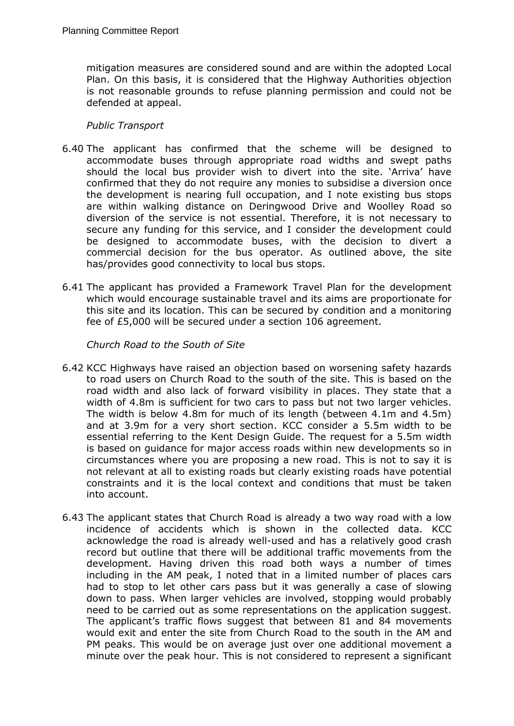mitigation measures are considered sound and are within the adopted Local Plan. On this basis, it is considered that the Highway Authorities objection is not reasonable grounds to refuse planning permission and could not be defended at appeal.

## *Public Transport*

- 6.40 The applicant has confirmed that the scheme will be designed to accommodate buses through appropriate road widths and swept paths should the local bus provider wish to divert into the site. 'Arriva' have confirmed that they do not require any monies to subsidise a diversion once the development is nearing full occupation, and I note existing bus stops are within walking distance on Deringwood Drive and Woolley Road so diversion of the service is not essential. Therefore, it is not necessary to secure any funding for this service, and I consider the development could be designed to accommodate buses, with the decision to divert a commercial decision for the bus operator. As outlined above, the site has/provides good connectivity to local bus stops.
- 6.41 The applicant has provided a Framework Travel Plan for the development which would encourage sustainable travel and its aims are proportionate for this site and its location. This can be secured by condition and a monitoring fee of £5,000 will be secured under a section 106 agreement.

## *Church Road to the South of Site*

- 6.42 KCC Highways have raised an objection based on worsening safety hazards to road users on Church Road to the south of the site. This is based on the road width and also lack of forward visibility in places. They state that a width of 4.8m is sufficient for two cars to pass but not two larger vehicles. The width is below 4.8m for much of its length (between 4.1m and 4.5m) and at 3.9m for a very short section. KCC consider a 5.5m width to be essential referring to the Kent Design Guide. The request for a 5.5m width is based on guidance for major access roads within new developments so in circumstances where you are proposing a new road. This is not to say it is not relevant at all to existing roads but clearly existing roads have potential constraints and it is the local context and conditions that must be taken into account.
- 6.43 The applicant states that Church Road is already a two way road with a low incidence of accidents which is shown in the collected data. KCC acknowledge the road is already well-used and has a relatively good crash record but outline that there will be additional traffic movements from the development. Having driven this road both ways a number of times including in the AM peak, I noted that in a limited number of places cars had to stop to let other cars pass but it was generally a case of slowing down to pass. When larger vehicles are involved, stopping would probably need to be carried out as some representations on the application suggest. The applicant's traffic flows suggest that between 81 and 84 movements would exit and enter the site from Church Road to the south in the AM and PM peaks. This would be on average just over one additional movement a minute over the peak hour. This is not considered to represent a significant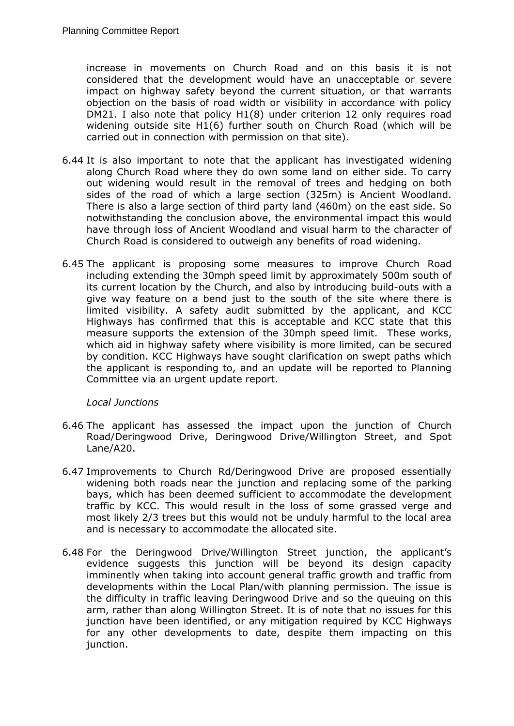increase in movements on Church Road and on this basis it is not considered that the development would have an unacceptable or severe impact on highway safety beyond the current situation, or that warrants objection on the basis of road width or visibility in accordance with policy DM21. I also note that policy H1(8) under criterion 12 only requires road widening outside site H1(6) further south on Church Road (which will be carried out in connection with permission on that site).

- 6.44 It is also important to note that the applicant has investigated widening along Church Road where they do own some land on either side. To carry out widening would result in the removal of trees and hedging on both sides of the road of which a large section (325m) is Ancient Woodland. There is also a large section of third party land (460m) on the east side. So notwithstanding the conclusion above, the environmental impact this would have through loss of Ancient Woodland and visual harm to the character of Church Road is considered to outweigh any benefits of road widening.
- 6.45 The applicant is proposing some measures to improve Church Road including extending the 30mph speed limit by approximately 500m south of its current location by the Church, and also by introducing build-outs with a give way feature on a bend just to the south of the site where there is limited visibility. A safety audit submitted by the applicant, and KCC Highways has confirmed that this is acceptable and KCC state that this measure supports the extension of the 30mph speed limit. These works, which aid in highway safety where visibility is more limited, can be secured by condition. KCC Highways have sought clarification on swept paths which the applicant is responding to, and an update will be reported to Planning Committee via an urgent update report.

## *Local Junctions*

- 6.46 The applicant has assessed the impact upon the junction of Church Road/Deringwood Drive, Deringwood Drive/Willington Street, and Spot Lane/A20.
- 6.47 Improvements to Church Rd/Deringwood Drive are proposed essentially widening both roads near the junction and replacing some of the parking bays, which has been deemed sufficient to accommodate the development traffic by KCC. This would result in the loss of some grassed verge and most likely 2/3 trees but this would not be unduly harmful to the local area and is necessary to accommodate the allocated site.
- 6.48 For the Deringwood Drive/Willington Street junction, the applicant's evidence suggests this junction will be beyond its design capacity imminently when taking into account general traffic growth and traffic from developments within the Local Plan/with planning permission. The issue is the difficulty in traffic leaving Deringwood Drive and so the queuing on this arm, rather than along Willington Street. It is of note that no issues for this junction have been identified, or any mitigation required by KCC Highways for any other developments to date, despite them impacting on this junction.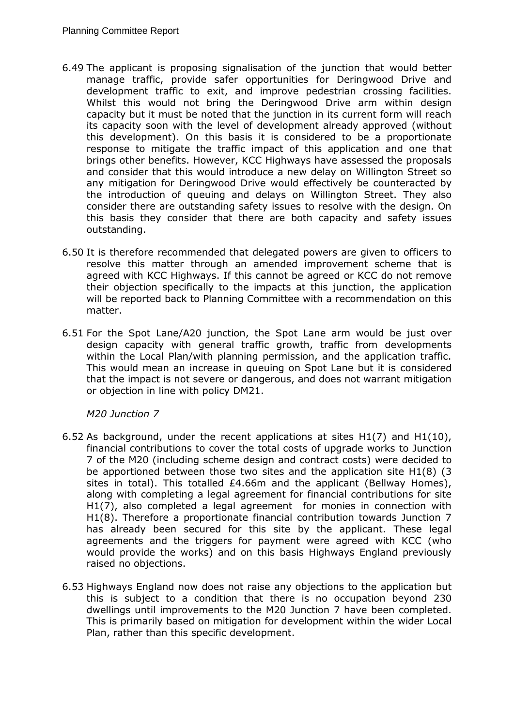- 6.49 The applicant is proposing signalisation of the junction that would better manage traffic, provide safer opportunities for Deringwood Drive and development traffic to exit, and improve pedestrian crossing facilities. Whilst this would not bring the Deringwood Drive arm within design capacity but it must be noted that the junction in its current form will reach its capacity soon with the level of development already approved (without this development). On this basis it is considered to be a proportionate response to mitigate the traffic impact of this application and one that brings other benefits. However, KCC Highways have assessed the proposals and consider that this would introduce a new delay on Willington Street so any mitigation for Deringwood Drive would effectively be counteracted by the introduction of queuing and delays on Willington Street. They also consider there are outstanding safety issues to resolve with the design. On this basis they consider that there are both capacity and safety issues outstanding.
- 6.50 It is therefore recommended that delegated powers are given to officers to resolve this matter through an amended improvement scheme that is agreed with KCC Highways. If this cannot be agreed or KCC do not remove their objection specifically to the impacts at this junction, the application will be reported back to Planning Committee with a recommendation on this matter.
- 6.51 For the Spot Lane/A20 junction, the Spot Lane arm would be just over design capacity with general traffic growth, traffic from developments within the Local Plan/with planning permission, and the application traffic. This would mean an increase in queuing on Spot Lane but it is considered that the impact is not severe or dangerous, and does not warrant mitigation or objection in line with policy DM21.

## *M20 Junction 7*

- 6.52 As background, under the recent applications at sites H1(7) and H1(10), financial contributions to cover the total costs of upgrade works to Junction 7 of the M20 (including scheme design and contract costs) were decided to be apportioned between those two sites and the application site H1(8) (3 sites in total). This totalled £4.66m and the applicant (Bellway Homes), along with completing a legal agreement for financial contributions for site H1(7), also completed a legal agreement for monies in connection with H1(8). Therefore a proportionate financial contribution towards Junction 7 has already been secured for this site by the applicant. These legal agreements and the triggers for payment were agreed with KCC (who would provide the works) and on this basis Highways England previously raised no objections.
- 6.53 Highways England now does not raise any objections to the application but this is subject to a condition that there is no occupation beyond 230 dwellings until improvements to the M20 Junction 7 have been completed. This is primarily based on mitigation for development within the wider Local Plan, rather than this specific development.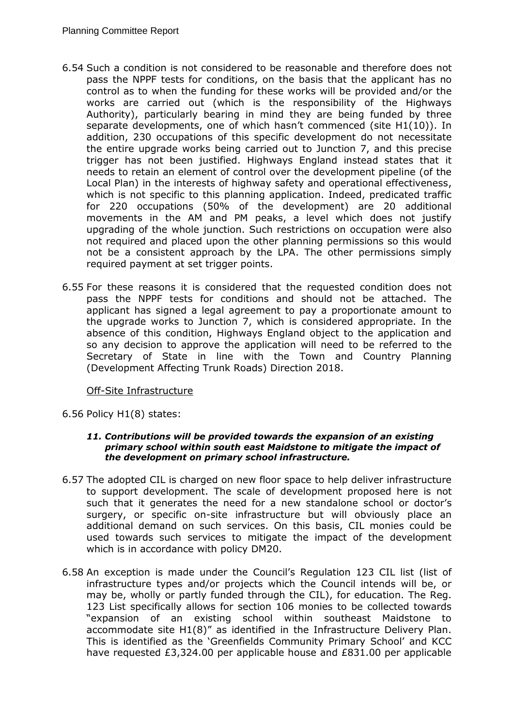- 6.54 Such a condition is not considered to be reasonable and therefore does not pass the NPPF tests for conditions, on the basis that the applicant has no control as to when the funding for these works will be provided and/or the works are carried out (which is the responsibility of the Highways Authority), particularly bearing in mind they are being funded by three separate developments, one of which hasn't commenced (site H1(10)). In addition, 230 occupations of this specific development do not necessitate the entire upgrade works being carried out to Junction 7, and this precise trigger has not been justified. Highways England instead states that it needs to retain an element of control over the development pipeline (of the Local Plan) in the interests of highway safety and operational effectiveness, which is not specific to this planning application. Indeed, predicated traffic for 220 occupations (50% of the development) are 20 additional movements in the AM and PM peaks, a level which does not justify upgrading of the whole junction. Such restrictions on occupation were also not required and placed upon the other planning permissions so this would not be a consistent approach by the LPA. The other permissions simply required payment at set trigger points.
- 6.55 For these reasons it is considered that the requested condition does not pass the NPPF tests for conditions and should not be attached. The applicant has signed a legal agreement to pay a proportionate amount to the upgrade works to Junction 7, which is considered appropriate. In the absence of this condition, Highways England object to the application and so any decision to approve the application will need to be referred to the Secretary of State in line with the Town and Country Planning (Development Affecting Trunk Roads) Direction 2018.

## Off-Site Infrastructure

6.56 Policy H1(8) states:

#### *11. Contributions will be provided towards the expansion of an existing primary school within south east Maidstone to mitigate the impact of the development on primary school infrastructure.*

- 6.57 The adopted CIL is charged on new floor space to help deliver infrastructure to support development. The scale of development proposed here is not such that it generates the need for a new standalone school or doctor's surgery, or specific on-site infrastructure but will obviously place an additional demand on such services. On this basis, CIL monies could be used towards such services to mitigate the impact of the development which is in accordance with policy DM20.
- 6.58 An exception is made under the Council's Regulation 123 CIL list (list of infrastructure types and/or projects which the Council intends will be, or may be, wholly or partly funded through the CIL), for education. The Reg. 123 List specifically allows for section 106 monies to be collected towards "expansion of an existing school within southeast Maidstone to accommodate site H1(8)" as identified in the Infrastructure Delivery Plan. This is identified as the 'Greenfields Community Primary School' and KCC have requested £3,324.00 per applicable house and £831.00 per applicable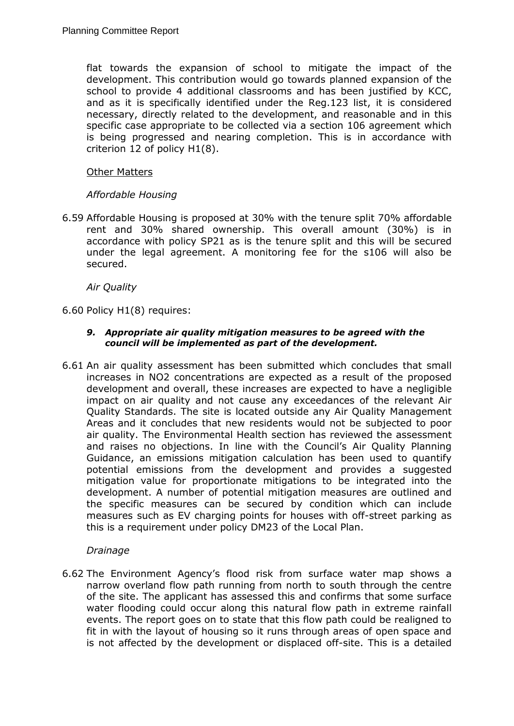flat towards the expansion of school to mitigate the impact of the development. This contribution would go towards planned expansion of the school to provide 4 additional classrooms and has been justified by KCC, and as it is specifically identified under the Reg.123 list, it is considered necessary, directly related to the development, and reasonable and in this specific case appropriate to be collected via a section 106 agreement which is being progressed and nearing completion. This is in accordance with criterion 12 of policy H1(8).

### Other Matters

## *Affordable Housing*

6.59 Affordable Housing is proposed at 30% with the tenure split 70% affordable rent and 30% shared ownership. This overall amount (30%) is in accordance with policy SP21 as is the tenure split and this will be secured under the legal agreement. A monitoring fee for the s106 will also be secured.

*Air Quality*

6.60 Policy H1(8) requires:

#### *9. Appropriate air quality mitigation measures to be agreed with the council will be implemented as part of the development.*

6.61 An air quality assessment has been submitted which concludes that small increases in NO2 concentrations are expected as a result of the proposed development and overall, these increases are expected to have a negligible impact on air quality and not cause any exceedances of the relevant Air Quality Standards. The site is located outside any Air Quality Management Areas and it concludes that new residents would not be subjected to poor air quality. The Environmental Health section has reviewed the assessment and raises no objections. In line with the Council's Air Quality Planning Guidance, an emissions mitigation calculation has been used to quantify potential emissions from the development and provides a suggested mitigation value for proportionate mitigations to be integrated into the development. A number of potential mitigation measures are outlined and the specific measures can be secured by condition which can include measures such as EV charging points for houses with off-street parking as this is a requirement under policy DM23 of the Local Plan.

#### *Drainage*

6.62 The Environment Agency's flood risk from surface water map shows a narrow overland flow path running from north to south through the centre of the site. The applicant has assessed this and confirms that some surface water flooding could occur along this natural flow path in extreme rainfall events. The report goes on to state that this flow path could be realigned to fit in with the layout of housing so it runs through areas of open space and is not affected by the development or displaced off-site. This is a detailed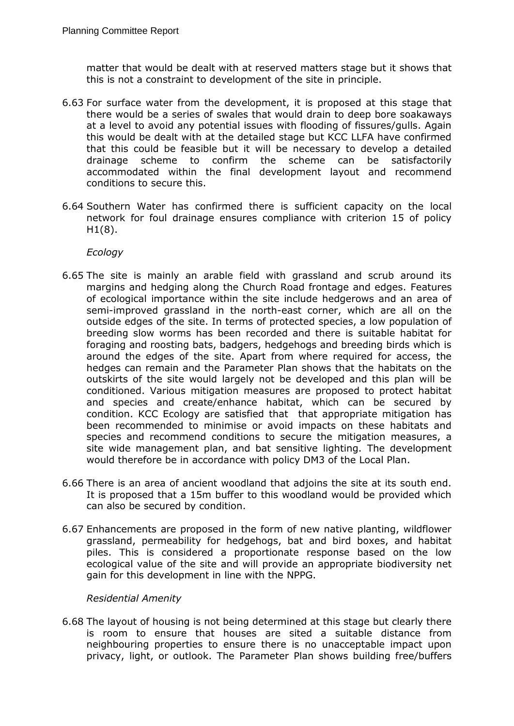matter that would be dealt with at reserved matters stage but it shows that this is not a constraint to development of the site in principle.

- 6.63 For surface water from the development, it is proposed at this stage that there would be a series of swales that would drain to deep bore soakaways at a level to avoid any potential issues with flooding of fissures/gulls. Again this would be dealt with at the detailed stage but KCC LLFA have confirmed that this could be feasible but it will be necessary to develop a detailed drainage scheme to confirm the scheme can be satisfactorily accommodated within the final development layout and recommend conditions to secure this.
- 6.64 Southern Water has confirmed there is sufficient capacity on the local network for foul drainage ensures compliance with criterion 15 of policy  $H1(8)$ .

### *Ecology*

- 6.65 The site is mainly an arable field with grassland and scrub around its margins and hedging along the Church Road frontage and edges. Features of ecological importance within the site include hedgerows and an area of semi-improved grassland in the north-east corner, which are all on the outside edges of the site. In terms of protected species, a low population of breeding slow worms has been recorded and there is suitable habitat for foraging and roosting bats, badgers, hedgehogs and breeding birds which is around the edges of the site. Apart from where required for access, the hedges can remain and the Parameter Plan shows that the habitats on the outskirts of the site would largely not be developed and this plan will be conditioned. Various mitigation measures are proposed to protect habitat and species and create/enhance habitat, which can be secured by condition. KCC Ecology are satisfied that that appropriate mitigation has been recommended to minimise or avoid impacts on these habitats and species and recommend conditions to secure the mitigation measures, a site wide management plan, and bat sensitive lighting. The development would therefore be in accordance with policy DM3 of the Local Plan.
- 6.66 There is an area of ancient woodland that adjoins the site at its south end. It is proposed that a 15m buffer to this woodland would be provided which can also be secured by condition.
- 6.67 Enhancements are proposed in the form of new native planting, wildflower grassland, permeability for hedgehogs, bat and bird boxes, and habitat piles. This is considered a proportionate response based on the low ecological value of the site and will provide an appropriate biodiversity net gain for this development in line with the NPPG.

#### *Residential Amenity*

6.68 The layout of housing is not being determined at this stage but clearly there is room to ensure that houses are sited a suitable distance from neighbouring properties to ensure there is no unacceptable impact upon privacy, light, or outlook. The Parameter Plan shows building free/buffers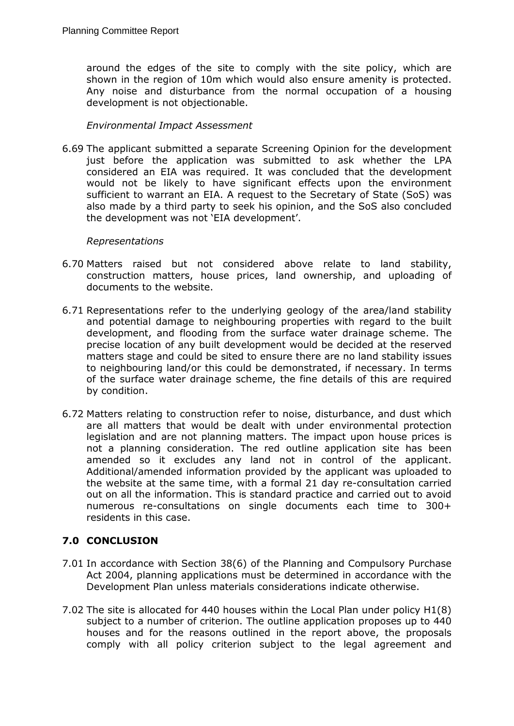around the edges of the site to comply with the site policy, which are shown in the region of 10m which would also ensure amenity is protected. Any noise and disturbance from the normal occupation of a housing development is not objectionable.

### *Environmental Impact Assessment*

6.69 The applicant submitted a separate Screening Opinion for the development just before the application was submitted to ask whether the LPA considered an EIA was required. It was concluded that the development would not be likely to have significant effects upon the environment sufficient to warrant an EIA. A request to the Secretary of State (SoS) was also made by a third party to seek his opinion, and the SoS also concluded the development was not 'EIA development'.

#### *Representations*

- 6.70 Matters raised but not considered above relate to land stability, construction matters, house prices, land ownership, and uploading of documents to the website.
- 6.71 Representations refer to the underlying geology of the area/land stability and potential damage to neighbouring properties with regard to the built development, and flooding from the surface water drainage scheme. The precise location of any built development would be decided at the reserved matters stage and could be sited to ensure there are no land stability issues to neighbouring land/or this could be demonstrated, if necessary. In terms of the surface water drainage scheme, the fine details of this are required by condition.
- 6.72 Matters relating to construction refer to noise, disturbance, and dust which are all matters that would be dealt with under environmental protection legislation and are not planning matters. The impact upon house prices is not a planning consideration. The red outline application site has been amended so it excludes any land not in control of the applicant. Additional/amended information provided by the applicant was uploaded to the website at the same time, with a formal 21 day re-consultation carried out on all the information. This is standard practice and carried out to avoid numerous re-consultations on single documents each time to 300+ residents in this case.

# **7.0 CONCLUSION**

- 7.01 In accordance with Section 38(6) of the Planning and Compulsory Purchase Act 2004, planning applications must be determined in accordance with the Development Plan unless materials considerations indicate otherwise.
- 7.02 The site is allocated for 440 houses within the Local Plan under policy H1(8) subject to a number of criterion. The outline application proposes up to 440 houses and for the reasons outlined in the report above, the proposals comply with all policy criterion subject to the legal agreement and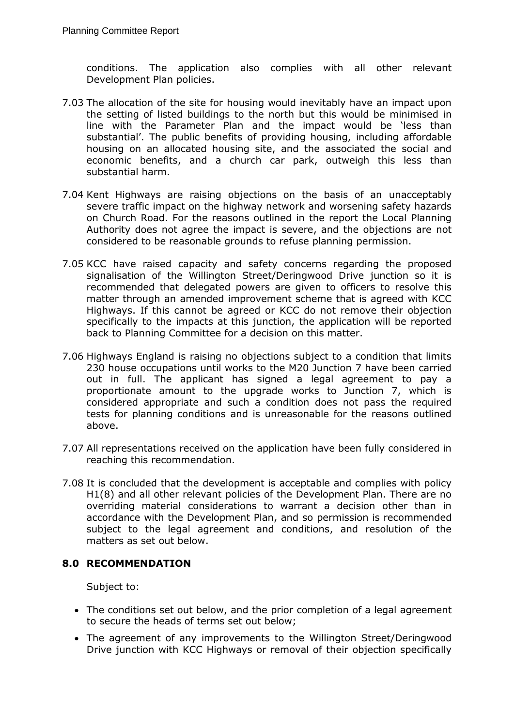conditions. The application also complies with all other relevant Development Plan policies.

- 7.03 The allocation of the site for housing would inevitably have an impact upon the setting of listed buildings to the north but this would be minimised in line with the Parameter Plan and the impact would be 'less than substantial'. The public benefits of providing housing, including affordable housing on an allocated housing site, and the associated the social and economic benefits, and a church car park, outweigh this less than substantial harm.
- 7.04 Kent Highways are raising objections on the basis of an unacceptably severe traffic impact on the highway network and worsening safety hazards on Church Road. For the reasons outlined in the report the Local Planning Authority does not agree the impact is severe, and the objections are not considered to be reasonable grounds to refuse planning permission.
- 7.05 KCC have raised capacity and safety concerns regarding the proposed signalisation of the Willington Street/Deringwood Drive junction so it is recommended that delegated powers are given to officers to resolve this matter through an amended improvement scheme that is agreed with KCC Highways. If this cannot be agreed or KCC do not remove their objection specifically to the impacts at this junction, the application will be reported back to Planning Committee for a decision on this matter.
- 7.06 Highways England is raising no objections subject to a condition that limits 230 house occupations until works to the M20 Junction 7 have been carried out in full. The applicant has signed a legal agreement to pay a proportionate amount to the upgrade works to Junction 7, which is considered appropriate and such a condition does not pass the required tests for planning conditions and is unreasonable for the reasons outlined above.
- 7.07 All representations received on the application have been fully considered in reaching this recommendation.
- 7.08 It is concluded that the development is acceptable and complies with policy H1(8) and all other relevant policies of the Development Plan. There are no overriding material considerations to warrant a decision other than in accordance with the Development Plan, and so permission is recommended subject to the legal agreement and conditions, and resolution of the matters as set out below.

## **8.0 RECOMMENDATION**

Subject to:

- The conditions set out below, and the prior completion of a legal agreement to secure the heads of terms set out below;
- The agreement of any improvements to the Willington Street/Deringwood Drive junction with KCC Highways or removal of their objection specifically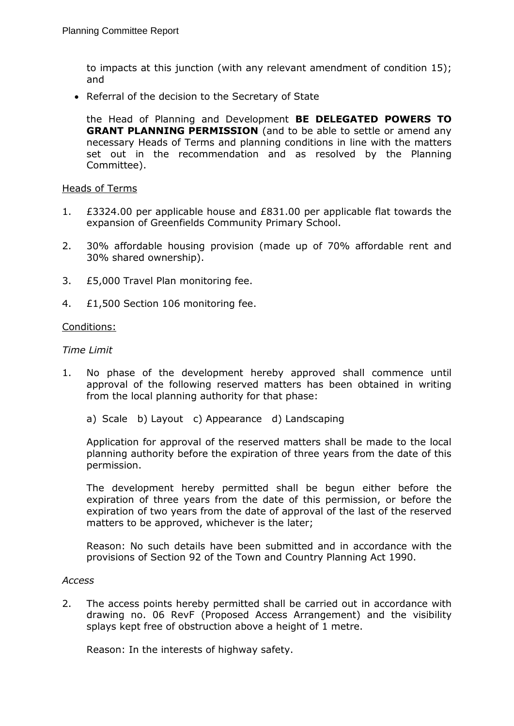to impacts at this junction (with any relevant amendment of condition 15); and

• Referral of the decision to the Secretary of State

the Head of Planning and Development **BE DELEGATED POWERS TO GRANT PLANNING PERMISSION** (and to be able to settle or amend any necessary Heads of Terms and planning conditions in line with the matters set out in the recommendation and as resolved by the Planning Committee).

#### Heads of Terms

- 1. £3324.00 per applicable house and £831.00 per applicable flat towards the expansion of Greenfields Community Primary School.
- 2. 30% affordable housing provision (made up of 70% affordable rent and 30% shared ownership).
- 3. £5,000 Travel Plan monitoring fee.
- 4. £1,500 Section 106 monitoring fee.

#### Conditions:

#### *Time Limit*

- 1. No phase of the development hereby approved shall commence until approval of the following reserved matters has been obtained in writing from the local planning authority for that phase:
	- a) Scale b) Layout c) Appearance d) Landscaping

Application for approval of the reserved matters shall be made to the local planning authority before the expiration of three years from the date of this permission.

The development hereby permitted shall be begun either before the expiration of three years from the date of this permission, or before the expiration of two years from the date of approval of the last of the reserved matters to be approved, whichever is the later;

Reason: No such details have been submitted and in accordance with the provisions of Section 92 of the Town and Country Planning Act 1990.

#### *Access*

2. The access points hereby permitted shall be carried out in accordance with drawing no. 06 RevF (Proposed Access Arrangement) and the visibility splays kept free of obstruction above a height of 1 metre.

Reason: In the interests of highway safety.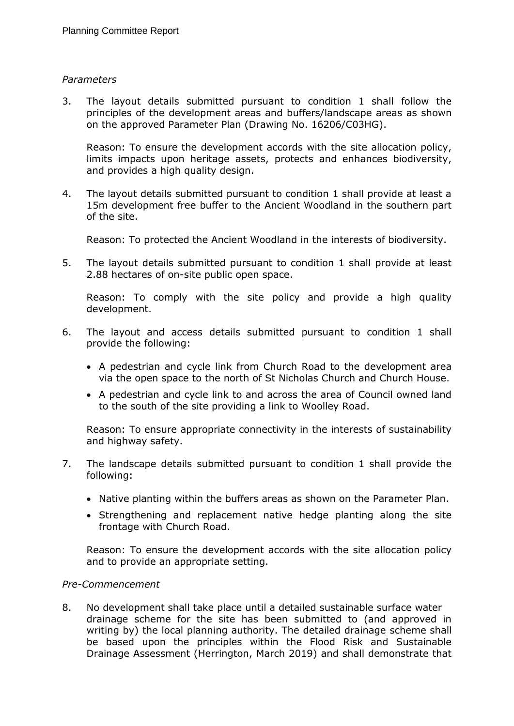### *Parameters*

3. The layout details submitted pursuant to condition 1 shall follow the principles of the development areas and buffers/landscape areas as shown on the approved Parameter Plan (Drawing No. 16206/C03HG).

Reason: To ensure the development accords with the site allocation policy, limits impacts upon heritage assets, protects and enhances biodiversity, and provides a high quality design.

4. The layout details submitted pursuant to condition 1 shall provide at least a 15m development free buffer to the Ancient Woodland in the southern part of the site.

Reason: To protected the Ancient Woodland in the interests of biodiversity.

5. The layout details submitted pursuant to condition 1 shall provide at least 2.88 hectares of on-site public open space.

Reason: To comply with the site policy and provide a high quality development.

- 6. The layout and access details submitted pursuant to condition 1 shall provide the following:
	- A pedestrian and cycle link from Church Road to the development area via the open space to the north of St Nicholas Church and Church House.
	- A pedestrian and cycle link to and across the area of Council owned land to the south of the site providing a link to Woolley Road.

Reason: To ensure appropriate connectivity in the interests of sustainability and highway safety.

- 7. The landscape details submitted pursuant to condition 1 shall provide the following:
	- Native planting within the buffers areas as shown on the Parameter Plan.
	- Strengthening and replacement native hedge planting along the site frontage with Church Road.

Reason: To ensure the development accords with the site allocation policy and to provide an appropriate setting.

### *Pre-Commencement*

8. No development shall take place until a detailed sustainable surface water drainage scheme for the site has been submitted to (and approved in writing by) the local planning authority. The detailed drainage scheme shall be based upon the principles within the Flood Risk and Sustainable Drainage Assessment (Herrington, March 2019) and shall demonstrate that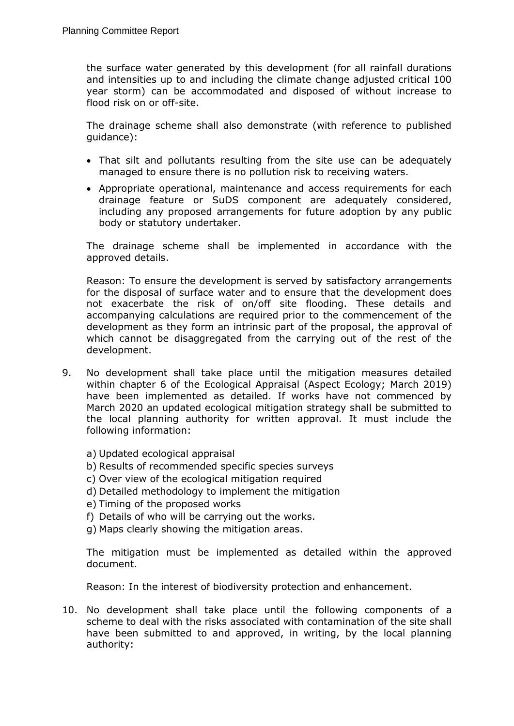the surface water generated by this development (for all rainfall durations and intensities up to and including the climate change adjusted critical 100 year storm) can be accommodated and disposed of without increase to flood risk on or off-site.

The drainage scheme shall also demonstrate (with reference to published guidance):

- That silt and pollutants resulting from the site use can be adequately managed to ensure there is no pollution risk to receiving waters.
- Appropriate operational, maintenance and access requirements for each drainage feature or SuDS component are adequately considered, including any proposed arrangements for future adoption by any public body or statutory undertaker.

The drainage scheme shall be implemented in accordance with the approved details.

Reason: To ensure the development is served by satisfactory arrangements for the disposal of surface water and to ensure that the development does not exacerbate the risk of on/off site flooding. These details and accompanying calculations are required prior to the commencement of the development as they form an intrinsic part of the proposal, the approval of which cannot be disaggregated from the carrying out of the rest of the development.

- 9. No development shall take place until the mitigation measures detailed within chapter 6 of the Ecological Appraisal (Aspect Ecology; March 2019) have been implemented as detailed. If works have not commenced by March 2020 an updated ecological mitigation strategy shall be submitted to the local planning authority for written approval. It must include the following information:
	- a) Updated ecological appraisal
	- b) Results of recommended specific species surveys
	- c) Over view of the ecological mitigation required
	- d) Detailed methodology to implement the mitigation
	- e) Timing of the proposed works
	- f) Details of who will be carrying out the works.
	- g) Maps clearly showing the mitigation areas.

The mitigation must be implemented as detailed within the approved document.

Reason: In the interest of biodiversity protection and enhancement.

10. No development shall take place until the following components of a scheme to deal with the risks associated with contamination of the site shall have been submitted to and approved, in writing, by the local planning authority: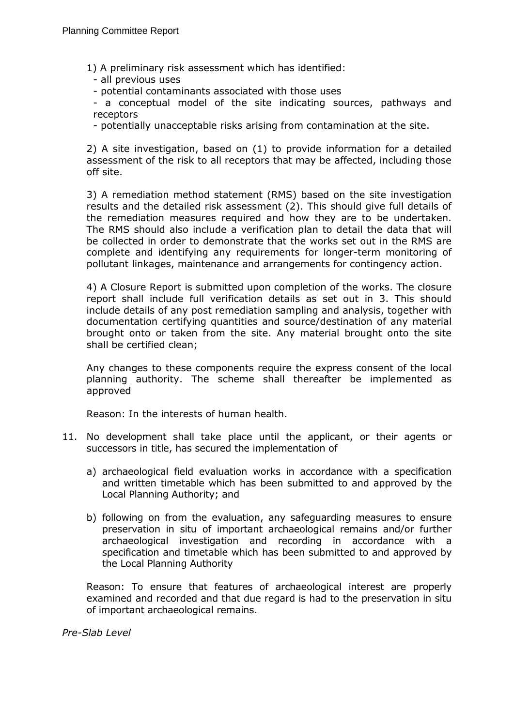1) A preliminary risk assessment which has identified:

- all previous uses
- potential contaminants associated with those uses

- a conceptual model of the site indicating sources, pathways and receptors

- potentially unacceptable risks arising from contamination at the site.

2) A site investigation, based on (1) to provide information for a detailed assessment of the risk to all receptors that may be affected, including those off site.

3) A remediation method statement (RMS) based on the site investigation results and the detailed risk assessment (2). This should give full details of the remediation measures required and how they are to be undertaken. The RMS should also include a verification plan to detail the data that will be collected in order to demonstrate that the works set out in the RMS are complete and identifying any requirements for longer-term monitoring of pollutant linkages, maintenance and arrangements for contingency action.

4) A Closure Report is submitted upon completion of the works. The closure report shall include full verification details as set out in 3. This should include details of any post remediation sampling and analysis, together with documentation certifying quantities and source/destination of any material brought onto or taken from the site. Any material brought onto the site shall be certified clean;

Any changes to these components require the express consent of the local planning authority. The scheme shall thereafter be implemented as approved

Reason: In the interests of human health.

- 11. No development shall take place until the applicant, or their agents or successors in title, has secured the implementation of
	- a) archaeological field evaluation works in accordance with a specification and written timetable which has been submitted to and approved by the Local Planning Authority; and
	- b) following on from the evaluation, any safeguarding measures to ensure preservation in situ of important archaeological remains and/or further archaeological investigation and recording in accordance with a specification and timetable which has been submitted to and approved by the Local Planning Authority

Reason: To ensure that features of archaeological interest are properly examined and recorded and that due regard is had to the preservation in situ of important archaeological remains.

*Pre-Slab Level*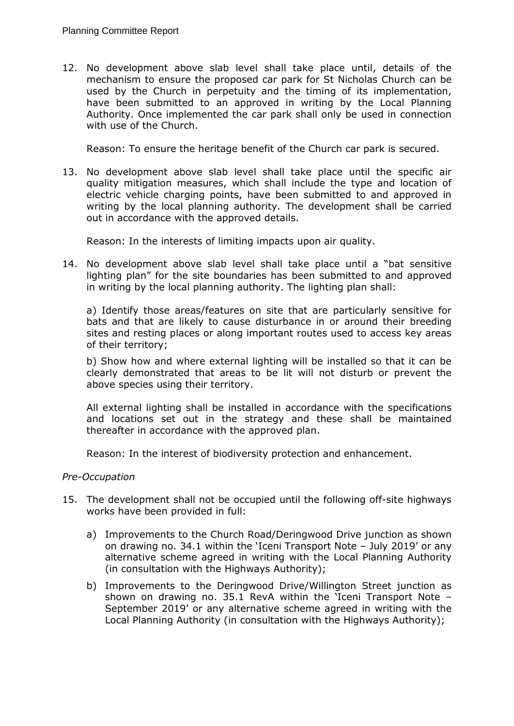12. No development above slab level shall take place until, details of the mechanism to ensure the proposed car park for St Nicholas Church can be used by the Church in perpetuity and the timing of its implementation, have been submitted to an approved in writing by the Local Planning Authority. Once implemented the car park shall only be used in connection with use of the Church.

Reason: To ensure the heritage benefit of the Church car park is secured.

13. No development above slab level shall take place until the specific air quality mitigation measures, which shall include the type and location of electric vehicle charging points, have been submitted to and approved in writing by the local planning authority. The development shall be carried out in accordance with the approved details.

Reason: In the interests of limiting impacts upon air quality.

14. No development above slab level shall take place until a "bat sensitive lighting plan" for the site boundaries has been submitted to and approved in writing by the local planning authority. The lighting plan shall:

a) Identify those areas/features on site that are particularly sensitive for bats and that are likely to cause disturbance in or around their breeding sites and resting places or along important routes used to access key areas of their territory;

b) Show how and where external lighting will be installed so that it can be clearly demonstrated that areas to be lit will not disturb or prevent the above species using their territory.

All external lighting shall be installed in accordance with the specifications and locations set out in the strategy and these shall be maintained thereafter in accordance with the approved plan.

Reason: In the interest of biodiversity protection and enhancement.

## *Pre-Occupation*

- 15. The development shall not be occupied until the following off-site highways works have been provided in full:
	- a) Improvements to the Church Road/Deringwood Drive junction as shown on drawing no. 34.1 within the 'Iceni Transport Note – July 2019' or any alternative scheme agreed in writing with the Local Planning Authority (in consultation with the Highways Authority);
	- b) Improvements to the Deringwood Drive/Willington Street junction as shown on drawing no. 35.1 RevA within the 'Iceni Transport Note – September 2019' or any alternative scheme agreed in writing with the Local Planning Authority (in consultation with the Highways Authority);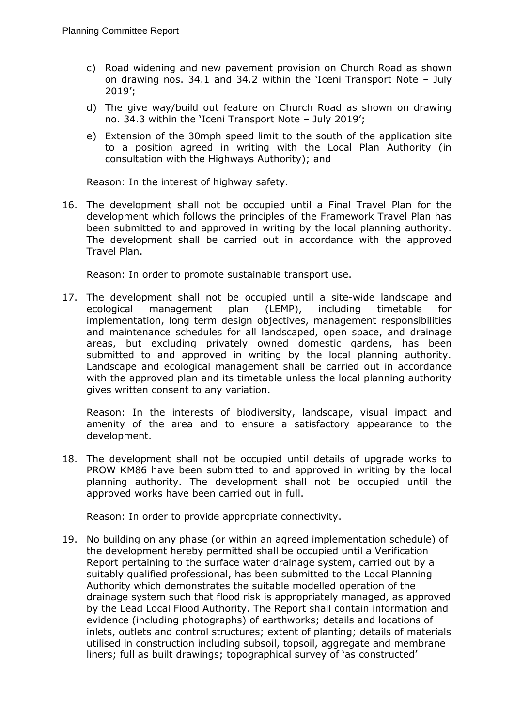- c) Road widening and new pavement provision on Church Road as shown on drawing nos. 34.1 and 34.2 within the 'Iceni Transport Note – July 2019';
- d) The give way/build out feature on Church Road as shown on drawing no. 34.3 within the 'Iceni Transport Note – July 2019';
- e) Extension of the 30mph speed limit to the south of the application site to a position agreed in writing with the Local Plan Authority (in consultation with the Highways Authority); and

Reason: In the interest of highway safety.

16. The development shall not be occupied until a Final Travel Plan for the development which follows the principles of the Framework Travel Plan has been submitted to and approved in writing by the local planning authority. The development shall be carried out in accordance with the approved Travel Plan.

Reason: In order to promote sustainable transport use.

17. The development shall not be occupied until a site-wide landscape and ecological management plan (LEMP), including timetable for implementation, long term design objectives, management responsibilities and maintenance schedules for all landscaped, open space, and drainage areas, but excluding privately owned domestic gardens, has been submitted to and approved in writing by the local planning authority. Landscape and ecological management shall be carried out in accordance with the approved plan and its timetable unless the local planning authority gives written consent to any variation.

Reason: In the interests of biodiversity, landscape, visual impact and amenity of the area and to ensure a satisfactory appearance to the development.

18. The development shall not be occupied until details of upgrade works to PROW KM86 have been submitted to and approved in writing by the local planning authority. The development shall not be occupied until the approved works have been carried out in full.

Reason: In order to provide appropriate connectivity.

19. No building on any phase (or within an agreed implementation schedule) of the development hereby permitted shall be occupied until a Verification Report pertaining to the surface water drainage system, carried out by a suitably qualified professional, has been submitted to the Local Planning Authority which demonstrates the suitable modelled operation of the drainage system such that flood risk is appropriately managed, as approved by the Lead Local Flood Authority. The Report shall contain information and evidence (including photographs) of earthworks; details and locations of inlets, outlets and control structures; extent of planting; details of materials utilised in construction including subsoil, topsoil, aggregate and membrane liners; full as built drawings; topographical survey of 'as constructed'